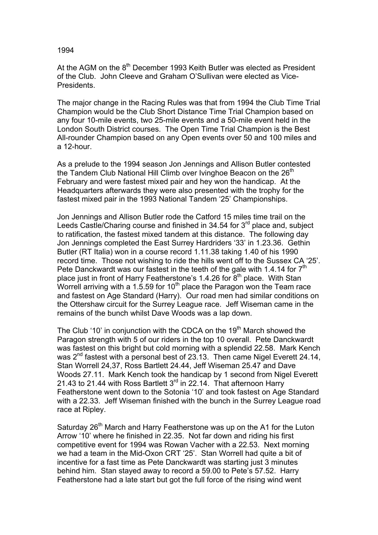1994

At the AGM on the  $8<sup>th</sup>$  December 1993 Keith Butler was elected as President of the Club. John Cleeve and Graham O'Sullivan were elected as Vice-Presidents.

The major change in the Racing Rules was that from 1994 the Club Time Trial Champion would be the Club Short Distance Time Trial Champion based on any four 10-mile events, two 25-mile events and a 50-mile event held in the London South District courses. The Open Time Trial Champion is the Best All-rounder Champion based on any Open events over 50 and 100 miles and a 12-hour.

As a prelude to the 1994 season Jon Jennings and Allison Butler contested the Tandem Club National Hill Climb over Ivinghoe Beacon on the  $26<sup>th</sup>$ February and were fastest mixed pair and hey won the handicap. At the Headquarters afterwards they were also presented with the trophy for the fastest mixed pair in the 1993 National Tandem '25' Championships.

Jon Jennings and Allison Butler rode the Catford 15 miles time trail on the Leeds Castle/Charing course and finished in 34.54 for  $3<sup>rd</sup>$  place and, subject to ratification, the fastest mixed tandem at this distance. The following day Jon Jennings completed the East Surrey Hardriders '33' in 1.23.36. Gethin Butler (RT Italia) won in a course record 1.11.38 taking 1.40 of his 1990 record time. Those not wishing to ride the hills went off to the Sussex CA '25'. Pete Danckwardt was our fastest in the teeth of the gale with 1.4.14 for  $7<sup>th</sup>$ place just in front of Harry Featherstone's 1.4.26 for  $8<sup>th</sup>$  place. With Stan Worrell arriving with a 1.5.59 for 10<sup>th</sup> place the Paragon won the Team race and fastest on Age Standard (Harry). Our road men had similar conditions on the Ottershaw circuit for the Surrey League race. Jeff Wiseman came in the remains of the bunch whilst Dave Woods was a lap down.

The Club '10' in conjunction with the CDCA on the 19<sup>th</sup> March showed the Paragon strength with 5 of our riders in the top 10 overall. Pete Danckwardt was fastest on this bright but cold morning with a splendid 22.58. Mark Kench was 2<sup>nd</sup> fastest with a personal best of 23.13. Then came Nigel Everett 24.14, Stan Worrell 24,37, Ross Bartlett 24.44, Jeff Wiseman 25.47 and Dave Woods 27.11. Mark Kench took the handicap by 1 second from Nigel Everett 21.43 to 21.44 with Ross Bartlett  $3<sup>rd</sup>$  in 22.14. That afternoon Harry Featherstone went down to the Sotonia '10' and took fastest on Age Standard with a 22.33. Jeff Wiseman finished with the bunch in the Surrey League road race at Ripley.

Saturday 26<sup>th</sup> March and Harry Featherstone was up on the A1 for the Luton Arrow '10' where he finished in 22.35. Not far down and riding his first competitive event for 1994 was Rowan Vacher with a 22.53. Next morning we had a team in the Mid-Oxon CRT '25'. Stan Worrell had quite a bit of incentive for a fast time as Pete Danckwardt was starting just 3 minutes behind him. Stan stayed away to record a 59.00 to Pete's 57.52. Harry Featherstone had a late start but got the full force of the rising wind went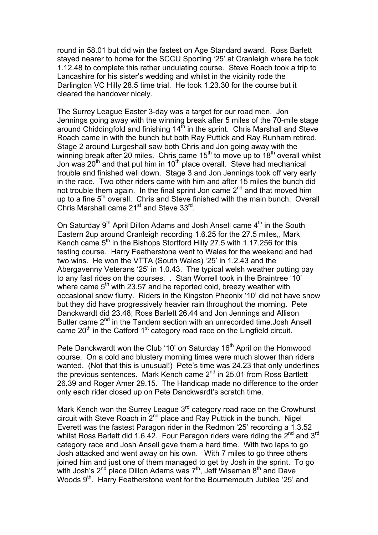round in 58.01 but did win the fastest on Age Standard award. Ross Barlett stayed nearer to home for the SCCU Sporting '25' at Cranleigh where he took 1.12.48 to complete this rather undulating course. Steve Roach took a trip to Lancashire for his sister's wedding and whilst in the vicinity rode the Darlington VC Hilly 28.5 time trial. He took 1.23.30 for the course but it cleared the handover nicely.

The Surrey League Easter 3-day was a target for our road men. Jon Jennings going away with the winning break after 5 miles of the 70-mile stage around Chiddingfold and finishing 14<sup>th</sup> in the sprint. Chris Marshall and Steve Roach came in with the bunch but both Ray Puttick and Ray Runham retired. Stage 2 around Lurgeshall saw both Chris and Jon going away with the winning break after 20 miles. Chris came  $15<sup>th</sup>$  to move up to  $18<sup>th</sup>$  overall whilst Jon was  $20<sup>th</sup>$  and that put him in 10<sup>th</sup> place overall. Steve had mechanical trouble and finished well down. Stage 3 and Jon Jennings took off very early in the race. Two other riders came with him and after 15 miles the bunch did not trouble them again. In the final sprint Jon came  $2^{nd}$  and that moved him up to a fine 5<sup>th</sup> overall. Chris and Steve finished with the main bunch. Overall Chris Marshall came 21<sup>st</sup> and Steve 33<sup>rd</sup>.

On Saturday  $9<sup>th</sup>$  April Dillon Adams and Josh Ansell came  $4<sup>th</sup>$  in the South Eastern 2up around Cranleigh recording 1.6.25 for the 27.5 miles,, Mark Kench came  $5<sup>th</sup>$  in the Bishops Stortford Hilly 27.5 with 1.17.256 for this testing course. Harry Featherstone went to Wales for the weekend and had two wins. He won the VTTA (South Wales) '25' in 1.2.43 and the Abergavenny Veterans '25' in 1.0.43. The typical welsh weather putting pay to any fast rides on the courses. . Stan Worrell took in the Braintree '10' where came  $5<sup>th</sup>$  with 23.57 and he reported cold, breezy weather with occasional snow flurry. Riders in the Kingston Pheonix '10' did not have snow but they did have progressively heavier rain throughout the morning. Pete Danckwardt did 23.48; Ross Barlett 26.44 and Jon Jennings and Allison Butler came 2<sup>nd</sup> in the Tandem section with an unrecorded time. Josh Ansell came  $20<sup>th</sup>$  in the Catford 1<sup>st</sup> category road race on the Lingfield circuit.

Pete Danckwardt won the Club '10' on Saturday 16<sup>th</sup> April on the Homwood course. On a cold and blustery morning times were much slower than riders wanted. (Not that this is unusual!) Pete's time was 24.23 that only underlines the previous sentences. Mark Kench came 2<sup>nd</sup> in 25.01 from Ross Bartlett 26.39 and Roger Amer 29.15. The Handicap made no difference to the order only each rider closed up on Pete Danckwardt's scratch time.

Mark Kench won the Surrey League 3<sup>rd</sup> category road race on the Crowhurst circuit with Steve Roach in  $2<sup>nd</sup>$  place and Ray Puttick in the bunch. Nigel Everett was the fastest Paragon rider in the Redmon '25' recording a 1.3.52 whilst Ross Barlett did 1.6.42. Four Paragon riders were riding the 2<sup>nd</sup> and 3<sup>rd</sup> category race and Josh Ansell gave them a hard time. With two laps to go Josh attacked and went away on his own. With 7 miles to go three others joined him and just one of them managed to get by Josh in the sprint. To go with Josh's  $2<sup>nd</sup>$  place Dillon Adams was  $7<sup>th</sup>$ , Jeff Wiseman  $8<sup>th</sup>$  and Dave Woods 9<sup>th</sup>. Harry Featherstone went for the Bournemouth Jubilee '25' and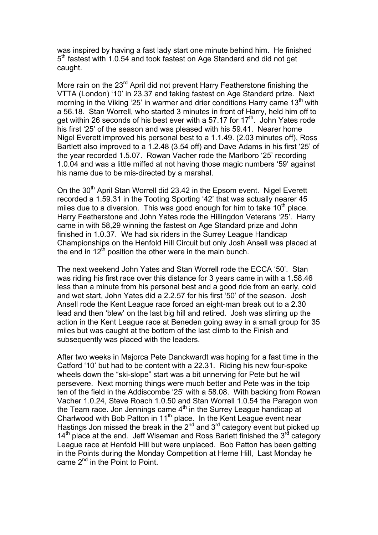was inspired by having a fast lady start one minute behind him. He finished 5<sup>th</sup> fastest with 1.0.54 and took fastest on Age Standard and did not get caught.

More rain on the 23<sup>rd</sup> April did not prevent Harry Featherstone finishing the VTTA (London) '10' in 23.37 and taking fastest on Age Standard prize. Next morning in the Viking '25' in warmer and drier conditions Harry came  $13<sup>th</sup>$  with a 56.18. Stan Worrell, who started 3 minutes in front of Harry, held him off to get within 26 seconds of his best ever with a 57.17 for 17<sup>th</sup>. John Yates rode his first '25' of the season and was pleased with his 59.41. Nearer home Nigel Everett improved his personal best to a 1.1.49. (2.03 minutes off), Ross Bartlett also improved to a 1.2.48 (3.54 off) and Dave Adams in his first '25' of the year recorded 1.5.07. Rowan Vacher rode the Marlboro '25' recording 1.0.04 and was a little miffed at not having those magic numbers '59' against his name due to be mis-directed by a marshal.

On the 30<sup>th</sup> April Stan Worrell did 23.42 in the Epsom event. Nigel Everett recorded a 1.59.31 in the Tooting Sporting '42' that was actually nearer 45 miles due to a diversion. This was good enough for him to take  $10<sup>th</sup>$  place. Harry Featherstone and John Yates rode the Hillingdon Veterans '25'. Harry came in with 58,29 winning the fastest on Age Standard prize and John finished in 1.0.37. We had six riders in the Surrey League Handicap Championships on the Henfold Hill Circuit but only Josh Ansell was placed at the end in  $12<sup>th</sup>$  position the other were in the main bunch.

The next weekend John Yates and Stan Worrell rode the ECCA '50'. Stan was riding his first race over this distance for 3 years came in with a 1.58.46 less than a minute from his personal best and a good ride from an early, cold and wet start, John Yates did a 2.2.57 for his first '50' of the season. Josh Ansell rode the Kent League race forced an eight-man break out to a 2.30 lead and then 'blew' on the last big hill and retired. Josh was stirring up the action in the Kent League race at Beneden going away in a small group for 35 miles but was caught at the bottom of the last climb to the Finish and subsequently was placed with the leaders.

After two weeks in Majorca Pete Danckwardt was hoping for a fast time in the Catford '10' but had to be content with a 22.31. Riding his new four-spoke wheels down the "ski-slope" start was a bit unnerving for Pete but he will persevere. Next morning things were much better and Pete was in the toip ten of the field in the Addiscombe '25' with a 58.08. With backing from Rowan Vacher 1.0.24, Steve Roach 1.0.50 and Stan Worrell 1.0.54 the Paragon won the Team race. Jon Jennings came  $4<sup>th</sup>$  in the Surrey League handicap at Charlwood with Bob Patton in 11<sup>th</sup> place. In the Kent League event near Hastings Jon missed the break in the  $2^{nd}$  and  $3^{rd}$  category event but picked up  $14<sup>th</sup>$  place at the end. Jeff Wiseman and Ross Barlett finished the 3<sup>rd</sup> category League race at Henfold Hill but were unplaced. Bob Patton has been getting in the Points during the Monday Competition at Herne Hill, Last Monday he came  $2^{nd}$  in the Point to Point.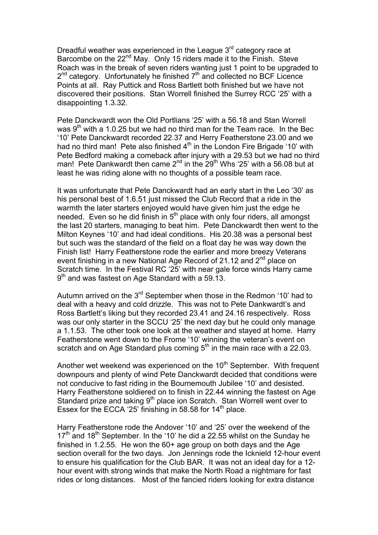Dreadful weather was experienced in the League  $3<sup>rd</sup>$  category race at Barcombe on the 22<sup>nd</sup> May. Only 15 riders made it to the Finish. Steve Roach was in the break of seven riders wanting just 1 point to be upgraded to  $2^{nd}$  category. Unfortunately he finished  $7^{th}$  and collected no BCF Licence Points at all. Ray Puttick and Ross Bartlett both finished but we have not discovered their positions. Stan Worrell finished the Surrey RCC '25' with a disappointing 1.3.32.

Pete Danckwardt won the Old Portlians '25' with a 56.18 and Stan Worrell was  $9<sup>th</sup>$  with a 1.0.25 but we had no third man for the Team race. In the Bec '10' Pete Danckwardt recorded 22.37 and Herry Featherstone 23.00 and we had no third man! Pete also finished  $4<sup>th</sup>$  in the London Fire Brigade '10' with Pete Bedford making a comeback after injury with a 29.53 but we had no third man! Pete Dankwardt then came  $2^{nd}$  in the  $29^{th}$  Whs '25' with a 56.08 but at least he was riding alone with no thoughts of a possible team race.

It was unfortunate that Pete Danckwardt had an early start in the Leo '30' as his personal best of 1.6.51 just missed the Club Record that a ride in the warmth the later starters enjoyed would have given him just the edge he needed. Even so he did finish in  $5<sup>th</sup>$  place with only four riders, all amongst the last 20 starters, managing to beat him. Pete Danckwardt then went to the Milton Keynes '10' and had ideal conditions. His 20.38 was a personal best but such was the standard of the field on a float day he was way down the Finish list! Harry Featherstone rode the earlier and more breezy Veterans event finishing in a new National Age Record of 21.12 and 2<sup>nd</sup> place on Scratch time. In the Festival RC '25' with near gale force winds Harry came  $9<sup>th</sup>$  and was fastest on Age Standard with a 59.13.

Autumn arrived on the  $3^{rd}$  September when those in the Redmon '10' had to deal with a heavy and cold drizzle. This was not to Pete Dankwardt's and Ross Bartlett's liking but they recorded 23.41 and 24.16 respectively. Ross was our only starter in the SCCU '25' the next day but he could only manage a 1.1.53. The other took one look at the weather and stayed at home. Harry Featherstone went down to the Frome '10' winning the veteran's event on scratch and on Age Standard plus coming  $5<sup>th</sup>$  in the main race with a 22.03.

Another wet weekend was experienced on the 10<sup>th</sup> September. With frequent downpours and plenty of wind Pete Danckwardt decided that conditions were not conducive to fast riding in the Bournemouth Jubilee '10' and desisted. Harry Featherstone soldiered on to finish in 22.44 winning the fastest on Age Standard prize and taking 9<sup>th</sup> place ion Scratch. Stan Worrell went over to Essex for the ECCA '25' finishing in 58.58 for  $14<sup>th</sup>$  place.

Harry Featherstone rode the Andover '10' and '25' over the weekend of the  $17<sup>th</sup>$  and  $18<sup>th</sup>$  September. In the '10' he did a 22.55 whilst on the Sunday he finished in 1.2.55. He won the 60+ age group on both days and the Age section overall for the two days. Jon Jennings rode the Icknield 12-hour event to ensure his qualification for the Club BAR. It was not an ideal day for a 12 hour event with strong winds that make the North Road a nightmare for fast rides or long distances. Most of the fancied riders looking for extra distance